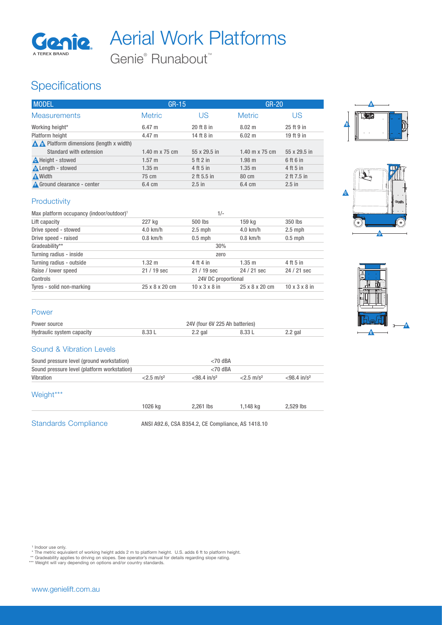

# Aerial Work Platforms

Genie<sup>®</sup> Runabout<sup>™</sup>

## **Specifications**

| <b>MODEL</b>                           | $GR-15$          |              | <b>GR-20</b>          |              |
|----------------------------------------|------------------|--------------|-----------------------|--------------|
| <b>Measurements</b>                    | <b>Metric</b>    | US           | <b>Metric</b>         | US           |
| Working height*                        | $6.47 \; m$      | 20 ft 8 in   | $8.02 \text{ m}$      | 25 ft 9 in   |
| Platform height                        | $4.47 \;{\rm m}$ | 14 ft 8 in   | $6.02 \text{ m}$      | 19 ft 9 in   |
| A Platform dimensions (length x width) |                  |              |                       |              |
| Standard with extension                | 1.40 m x 75 cm   | 55 x 29.5 in | 1.40 m $\times$ 75 cm | 55 x 29.5 in |
| <b>A</b> Height - stowed               | $1.57 \text{ m}$ | 5ft2in       | 1.98 m                | 6 ft 6 in    |
| Length - stowed                        | $1.35 \; m$      | 4 ft 5 in    | $1.35 \; m$           | 4 ft 5 in    |
| <b>A</b> Width                         | 75 cm            | 2 ft 5.5 in  | 80 cm                 | 2 ft 7.5 in  |
| <b>A</b> Ground clearance - center     | 6.4 cm           | $2.5$ in     | 6.4 cm                | $2.5$ in     |

### **Productivity**

| 227 kg              | 500 lbs     |  |                                    | 350 lbs                                                                            |
|---------------------|-------------|--|------------------------------------|------------------------------------------------------------------------------------|
| $4.0$ km/h          | $2.5$ mph   |  |                                    | $2.5$ mph                                                                          |
| $0.8$ km/h          | $0.5$ mph   |  |                                    | $0.5$ mph                                                                          |
| 30%                 |             |  |                                    |                                                                                    |
| zero                |             |  |                                    |                                                                                    |
| $1.32 \text{ m}$    | 4 ft 4 in   |  |                                    | 4 ft 5 in                                                                          |
| 21 / 19 sec         | $21/19$ sec |  |                                    | 24 / 21 sec                                                                        |
| 24V DC proportional |             |  |                                    |                                                                                    |
| 25 x 8 x 20 cm      |             |  |                                    | $10 \times 3 \times 8$ in                                                          |
|                     |             |  | $1/-$<br>$10 \times 3 \times 8$ in | 159 kg<br>$4.0$ km/h<br>$0.8$ km/h<br>$1.35 \; m$<br>24 / 21 sec<br>25 x 8 x 20 cm |

#### Power

| Power source              | 24V (four 6V 225 Ah batteries) |           |        |         |
|---------------------------|--------------------------------|-----------|--------|---------|
| Hydraulic system capacity | 8.33 L                         | $2.2$ gal | 8.33 L | 2.2 gal |

#### Sound & Vibration Levels

| Sound pressure level (ground workstation)   |                          | $<$ 70 dBA<br>$<$ 70 dBA   |                          |                            |
|---------------------------------------------|--------------------------|----------------------------|--------------------------|----------------------------|
| Sound pressure level (platform workstation) |                          |                            |                          |                            |
| Vibration                                   | $< 2.5$ m/s <sup>2</sup> | $< 98.4$ in/s <sup>2</sup> | $< 2.5$ m/s <sup>2</sup> | $< 98.4$ in/s <sup>2</sup> |
| Weight***                                   |                          |                            |                          |                            |
|                                             | 1026 kg                  | 2.261 lbs                  | 1,148 kg                 | 2.529 lbs                  |

Standards Compliance ANSI A92.6, CSA B354.2, CE Compliance, AS 1418.10

1 Indoor use only.<br>\* The metric equivalent of working height adds 2 m to platform height. U.S. adds 6 ft to platform height.<br>\*\* Gradeability applies to driving on slopes. See operator's manual for details regarding slope r